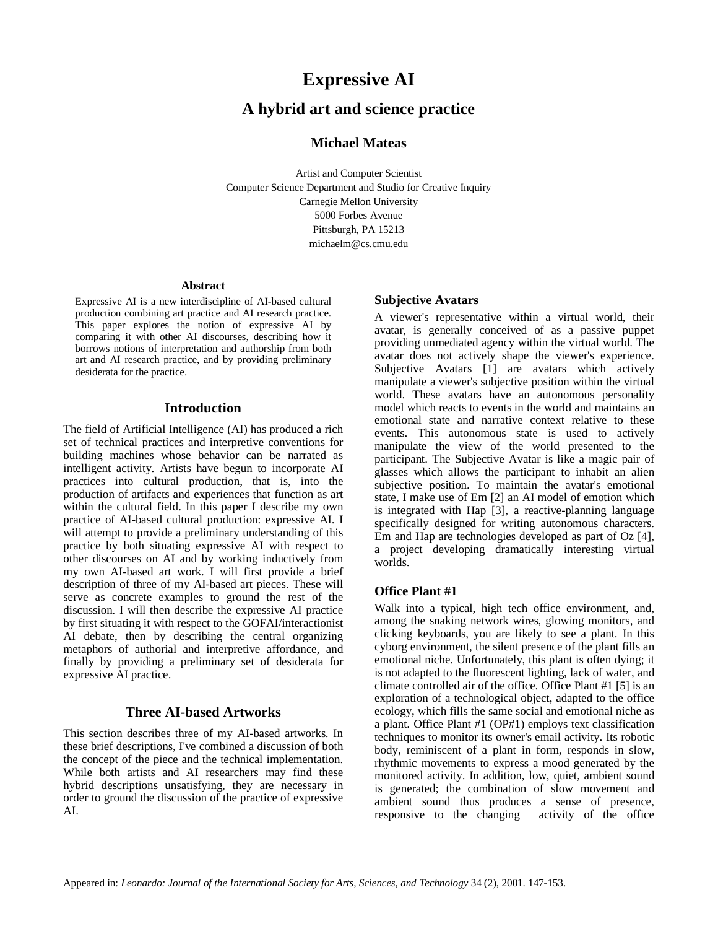# **Expressive AI**

# **A hybrid art and science practice**

# **Michael Mateas**

Artist and Computer Scientist Computer Science Department and Studio for Creative Inquiry Carnegie Mellon University 5000 Forbes Avenue Pittsburgh, PA 15213 michaelm@cs.cmu.edu

#### **Abstract**

Expressive AI is a new interdiscipline of AI-based cultural production combining art practice and AI research practice. This paper explores the notion of expressive AI by comparing it with other AI discourses, describing how it borrows notions of interpretation and authorship from both art and AI research practice, and by providing preliminary desiderata for the practice.

#### **Introduction**

The field of Artificial Intelligence (AI) has produced a rich set of technical practices and interpretive conventions for building machines whose behavior can be narrated as intelligent activity. Artists have begun to incorporate AI practices into cultural production, that is, into the production of artifacts and experiences that function as art within the cultural field. In this paper I describe my own practice of AI-based cultural production: expressive AI. I will attempt to provide a preliminary understanding of this practice by both situating expressive AI with respect to other discourses on AI and by working inductively from my own AI-based art work. I will first provide a brief description of three of my AI-based art pieces. These will serve as concrete examples to ground the rest of the discussion. I will then describe the expressive AI practice by first situating it with respect to the GOFAI/interactionist AI debate, then by describing the central organizing metaphors of authorial and interpretive affordance, and finally by providing a preliminary set of desiderata for expressive AI practice.

### **Three AI-based Artworks**

This section describes three of my AI-based artworks. In these brief descriptions, I've combined a discussion of both the concept of the piece and the technical implementation. While both artists and AI researchers may find these hybrid descriptions unsatisfying, they are necessary in order to ground the discussion of the practice of expressive AI.

#### **Subjective Avatars**

A viewer's representative within a virtual world, their avatar, is generally conceived of as a passive puppet providing unmediated agency within the virtual world. The avatar does not actively shape the viewer's experience. Subjective Avatars [1] are avatars which actively manipulate a viewer's subjective position within the virtual world. These avatars have an autonomous personality model which reacts to events in the world and maintains an emotional state and narrative context relative to these events. This autonomous state is used to actively manipulate the view of the world presented to the participant. The Subjective Avatar is like a magic pair of glasses which allows the participant to inhabit an alien subjective position. To maintain the avatar's emotional state, I make use of Em [2] an AI model of emotion which is integrated with Hap [3], a reactive-planning language specifically designed for writing autonomous characters. Em and Hap are technologies developed as part of Oz [4], a project developing dramatically interesting virtual worlds.

#### **Office Plant #1**

Walk into a typical, high tech office environment, and, among the snaking network wires, glowing monitors, and clicking keyboards, you are likely to see a plant. In this cyborg environment, the silent presence of the plant fills an emotional niche. Unfortunately, this plant is often dying; it is not adapted to the fluorescent lighting, lack of water, and climate controlled air of the office. Office Plant #1 [5] is an exploration of a technological object, adapted to the office ecology, which fills the same social and emotional niche as a plant. Office Plant #1 (OP#1) employs text classification techniques to monitor its owner's email activity. Its robotic body, reminiscent of a plant in form, responds in slow, rhythmic movements to express a mood generated by the monitored activity. In addition, low, quiet, ambient sound is generated; the combination of slow movement and ambient sound thus produces a sense of presence, responsive to the changing activity of the office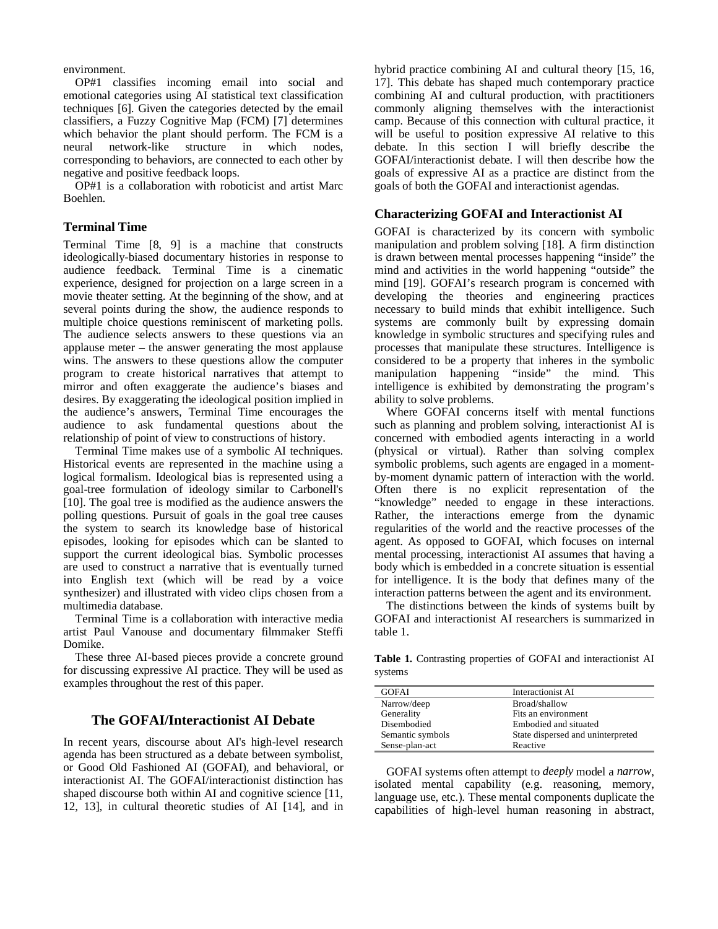environment.

 OP#1 classifies incoming email into social and emotional categories using AI statistical text classification techniques [6]. Given the categories detected by the email classifiers, a Fuzzy Cognitive Map (FCM) [7] determines which behavior the plant should perform. The FCM is a neural network-like structure in which nodes, corresponding to behaviors, are connected to each other by negative and positive feedback loops.

 OP#1 is a collaboration with roboticist and artist Marc Boehlen.

#### **Terminal Time**

Terminal Time [8, 9] is a machine that constructs ideologically-biased documentary histories in response to audience feedback. Terminal Time is a cinematic experience, designed for projection on a large screen in a movie theater setting. At the beginning of the show, and at several points during the show, the audience responds to multiple choice questions reminiscent of marketing polls. The audience selects answers to these questions via an applause meter – the answer generating the most applause wins. The answers to these questions allow the computer program to create historical narratives that attempt to mirror and often exaggerate the audience's biases and desires. By exaggerating the ideological position implied in the audience's answers, Terminal Time encourages the audience to ask fundamental questions about the relationship of point of view to constructions of history.

 Terminal Time makes use of a symbolic AI techniques. Historical events are represented in the machine using a logical formalism. Ideological bias is represented using a goal-tree formulation of ideology similar to Carbonell's [10]. The goal tree is modified as the audience answers the polling questions. Pursuit of goals in the goal tree causes the system to search its knowledge base of historical episodes, looking for episodes which can be slanted to support the current ideological bias. Symbolic processes are used to construct a narrative that is eventually turned into English text (which will be read by a voice synthesizer) and illustrated with video clips chosen from a multimedia database.

 Terminal Time is a collaboration with interactive media artist Paul Vanouse and documentary filmmaker Steffi Domike.

 These three AI-based pieces provide a concrete ground for discussing expressive AI practice. They will be used as examples throughout the rest of this paper.

#### **The GOFAI/Interactionist AI Debate**

In recent years, discourse about AI's high-level research agenda has been structured as a debate between symbolist, or Good Old Fashioned AI (GOFAI), and behavioral, or interactionist AI. The GOFAI/interactionist distinction has shaped discourse both within AI and cognitive science [11, 12, 13], in cultural theoretic studies of AI [14], and in hybrid practice combining AI and cultural theory [15, 16, 17]. This debate has shaped much contemporary practice combining AI and cultural production, with practitioners commonly aligning themselves with the interactionist camp. Because of this connection with cultural practice, it will be useful to position expressive AI relative to this debate. In this section I will briefly describe the GOFAI/interactionist debate. I will then describe how the goals of expressive AI as a practice are distinct from the goals of both the GOFAI and interactionist agendas.

#### **Characterizing GOFAI and Interactionist AI**

GOFAI is characterized by its concern with symbolic manipulation and problem solving [18]. A firm distinction is drawn between mental processes happening "inside" the mind and activities in the world happening "outside" the mind [19]. GOFAI's research program is concerned with developing the theories and engineering practices necessary to build minds that exhibit intelligence. Such systems are commonly built by expressing domain knowledge in symbolic structures and specifying rules and processes that manipulate these structures. Intelligence is considered to be a property that inheres in the symbolic manipulation happening "inside" the mind. This intelligence is exhibited by demonstrating the program's ability to solve problems.

 Where GOFAI concerns itself with mental functions such as planning and problem solving, interactionist AI is concerned with embodied agents interacting in a world (physical or virtual). Rather than solving complex symbolic problems, such agents are engaged in a momentby-moment dynamic pattern of interaction with the world. Often there is no explicit representation of the "knowledge" needed to engage in these interactions. Rather, the interactions emerge from the dynamic regularities of the world and the reactive processes of the agent. As opposed to GOFAI, which focuses on internal mental processing, interactionist AI assumes that having a body which is embedded in a concrete situation is essential for intelligence. It is the body that defines many of the interaction patterns between the agent and its environment.

 The distinctions between the kinds of systems built by GOFAI and interactionist AI researchers is summarized in table 1.

**Table 1.** Contrasting properties of GOFAI and interactionist AI systems

| <b>GOFAI</b>     | Interactionist AI                 |
|------------------|-----------------------------------|
| Narrow/deep      | Broad/shallow                     |
| Generality       | Fits an environment               |
| Disembodied      | Embodied and situated             |
| Semantic symbols | State dispersed and uninterpreted |
| Sense-plan-act   | Reactive                          |

 GOFAI systems often attempt to *deeply* model a *narrow*, isolated mental capability (e.g. reasoning, memory, language use, etc.). These mental components duplicate the capabilities of high-level human reasoning in abstract,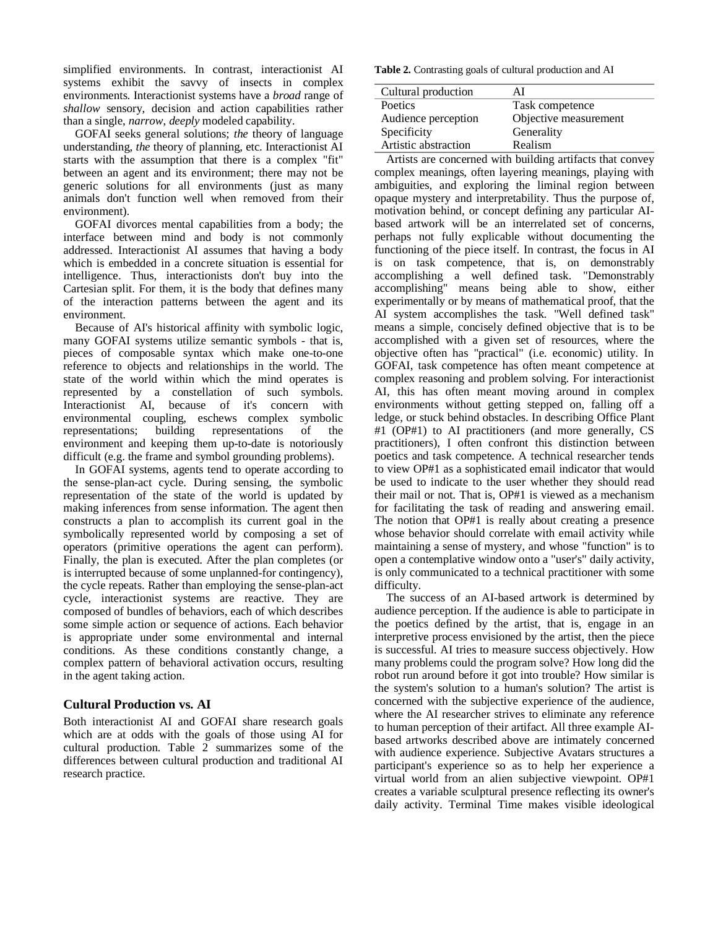simplified environments. In contrast, interactionist AI systems exhibit the savvy of insects in complex environments. Interactionist systems have a *broad* range of *shallow* sensory, decision and action capabilities rather than a single, *narrow*, *deeply* modeled capability.

 GOFAI seeks general solutions; *the* theory of language understanding, *the* theory of planning, etc. Interactionist AI starts with the assumption that there is a complex "fit" between an agent and its environment; there may not be generic solutions for all environments (just as many animals don't function well when removed from their environment).

 GOFAI divorces mental capabilities from a body; the interface between mind and body is not commonly addressed. Interactionist AI assumes that having a body which is embedded in a concrete situation is essential for intelligence. Thus, interactionists don't buy into the Cartesian split. For them, it is the body that defines many of the interaction patterns between the agent and its environment.

 Because of AI's historical affinity with symbolic logic, many GOFAI systems utilize semantic symbols - that is, pieces of composable syntax which make one-to-one reference to objects and relationships in the world. The state of the world within which the mind operates is represented by a constellation of such symbols. Interactionist AI, because of it's concern with environmental coupling, eschews complex symbolic representations; building representations of the environment and keeping them up-to-date is notoriously difficult (e.g. the frame and symbol grounding problems).

 In GOFAI systems, agents tend to operate according to the sense-plan-act cycle. During sensing, the symbolic representation of the state of the world is updated by making inferences from sense information. The agent then constructs a plan to accomplish its current goal in the symbolically represented world by composing a set of operators (primitive operations the agent can perform). Finally, the plan is executed. After the plan completes (or is interrupted because of some unplanned-for contingency), the cycle repeats. Rather than employing the sense-plan-act cycle, interactionist systems are reactive. They are composed of bundles of behaviors, each of which describes some simple action or sequence of actions. Each behavior is appropriate under some environmental and internal conditions. As these conditions constantly change, a complex pattern of behavioral activation occurs, resulting in the agent taking action.

#### **Cultural Production vs. AI**

Both interactionist AI and GOFAI share research goals which are at odds with the goals of those using AI for cultural production. Table 2 summarizes some of the differences between cultural production and traditional AI research practice.

**Table 2.** Contrasting goals of cultural production and AI

| Cultural production  | ΑI                    |
|----------------------|-----------------------|
| Poetics              | Task competence       |
| Audience perception  | Objective measurement |
| Specificity          | Generality            |
| Artistic abstraction | Realism               |

 Artists are concerned with building artifacts that convey complex meanings, often layering meanings, playing with ambiguities, and exploring the liminal region between opaque mystery and interpretability. Thus the purpose of, motivation behind, or concept defining any particular AIbased artwork will be an interrelated set of concerns, perhaps not fully explicable without documenting the functioning of the piece itself. In contrast, the focus in AI is on task competence, that is, on demonstrably accomplishing a well defined task. "Demonstrably accomplishing" means being able to show, either experimentally or by means of mathematical proof, that the AI system accomplishes the task. "Well defined task" means a simple, concisely defined objective that is to be accomplished with a given set of resources, where the objective often has "practical" (i.e. economic) utility. In GOFAI, task competence has often meant competence at complex reasoning and problem solving. For interactionist AI, this has often meant moving around in complex environments without getting stepped on, falling off a ledge, or stuck behind obstacles. In describing Office Plant #1 (OP#1) to AI practitioners (and more generally, CS practitioners), I often confront this distinction between poetics and task competence. A technical researcher tends to view OP#1 as a sophisticated email indicator that would be used to indicate to the user whether they should read their mail or not. That is, OP#1 is viewed as a mechanism for facilitating the task of reading and answering email. The notion that OP#1 is really about creating a presence whose behavior should correlate with email activity while maintaining a sense of mystery, and whose "function" is to open a contemplative window onto a "user's" daily activity, is only communicated to a technical practitioner with some difficulty.

 The success of an AI-based artwork is determined by audience perception. If the audience is able to participate in the poetics defined by the artist, that is, engage in an interpretive process envisioned by the artist, then the piece is successful. AI tries to measure success objectively. How many problems could the program solve? How long did the robot run around before it got into trouble? How similar is the system's solution to a human's solution? The artist is concerned with the subjective experience of the audience, where the AI researcher strives to eliminate any reference to human perception of their artifact. All three example AIbased artworks described above are intimately concerned with audience experience. Subjective Avatars structures a participant's experience so as to help her experience a virtual world from an alien subjective viewpoint. OP#1 creates a variable sculptural presence reflecting its owner's daily activity. Terminal Time makes visible ideological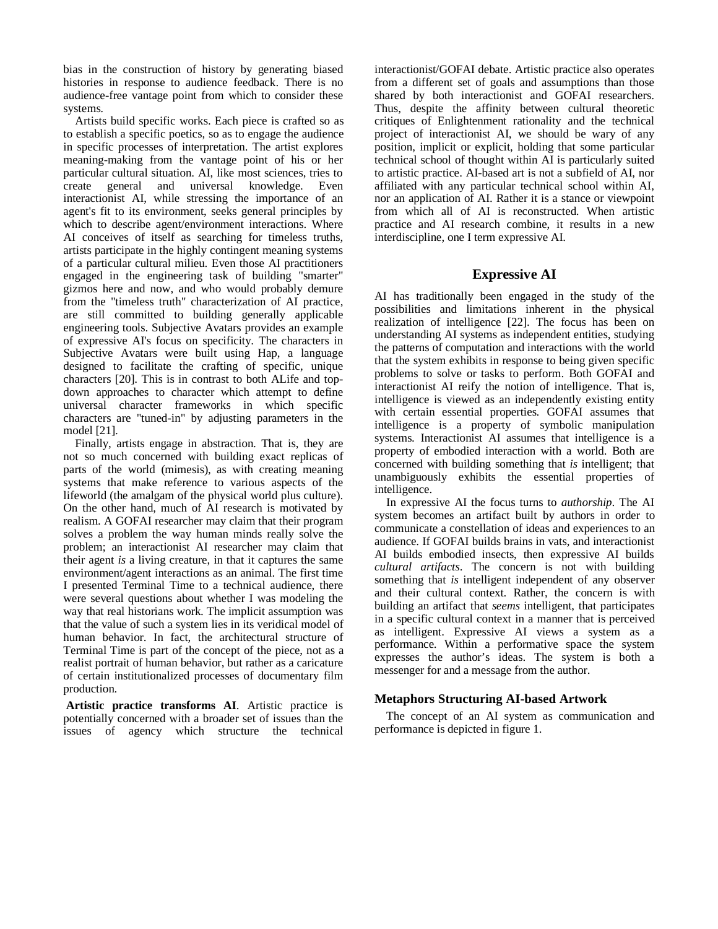bias in the construction of history by generating biased histories in response to audience feedback. There is no audience-free vantage point from which to consider these systems.

 Artists build specific works. Each piece is crafted so as to establish a specific poetics, so as to engage the audience in specific processes of interpretation. The artist explores meaning-making from the vantage point of his or her particular cultural situation. AI, like most sciences, tries to create general and universal knowledge. Even interactionist AI, while stressing the importance of an agent's fit to its environment, seeks general principles by which to describe agent/environment interactions. Where AI conceives of itself as searching for timeless truths, artists participate in the highly contingent meaning systems of a particular cultural milieu. Even those AI practitioners engaged in the engineering task of building "smarter" gizmos here and now, and who would probably demure from the "timeless truth" characterization of AI practice, are still committed to building generally applicable engineering tools. Subjective Avatars provides an example of expressive AI's focus on specificity. The characters in Subjective Avatars were built using Hap, a language designed to facilitate the crafting of specific, unique characters [20]. This is in contrast to both ALife and topdown approaches to character which attempt to define universal character frameworks in which specific characters are "tuned-in" by adjusting parameters in the model [21].

 Finally, artists engage in abstraction. That is, they are not so much concerned with building exact replicas of parts of the world (mimesis), as with creating meaning systems that make reference to various aspects of the lifeworld (the amalgam of the physical world plus culture). On the other hand, much of AI research is motivated by realism. A GOFAI researcher may claim that their program solves a problem the way human minds really solve the problem; an interactionist AI researcher may claim that their agent *is* a living creature, in that it captures the same environment/agent interactions as an animal. The first time I presented Terminal Time to a technical audience, there were several questions about whether I was modeling the way that real historians work. The implicit assumption was that the value of such a system lies in its veridical model of human behavior. In fact, the architectural structure of Terminal Time is part of the concept of the piece, not as a realist portrait of human behavior, but rather as a caricature of certain institutionalized processes of documentary film production.

**Artistic practice transforms AI**. Artistic practice is potentially concerned with a broader set of issues than the issues of agency which structure the technical interactionist/GOFAI debate. Artistic practice also operates from a different set of goals and assumptions than those shared by both interactionist and GOFAI researchers. Thus, despite the affinity between cultural theoretic critiques of Enlightenment rationality and the technical project of interactionist AI, we should be wary of any position, implicit or explicit, holding that some particular technical school of thought within AI is particularly suited to artistic practice. AI-based art is not a subfield of AI, nor affiliated with any particular technical school within AI, nor an application of AI. Rather it is a stance or viewpoint from which all of AI is reconstructed. When artistic practice and AI research combine, it results in a new interdiscipline, one I term expressive AI.

# **Expressive AI**

AI has traditionally been engaged in the study of the possibilities and limitations inherent in the physical realization of intelligence [22]. The focus has been on understanding AI systems as independent entities, studying the patterns of computation and interactions with the world that the system exhibits in response to being given specific problems to solve or tasks to perform. Both GOFAI and interactionist AI reify the notion of intelligence. That is, intelligence is viewed as an independently existing entity with certain essential properties. GOFAI assumes that intelligence is a property of symbolic manipulation systems. Interactionist AI assumes that intelligence is a property of embodied interaction with a world. Both are concerned with building something that *is* intelligent; that unambiguously exhibits the essential properties of intelligence.

 In expressive AI the focus turns to *authorship*. The AI system becomes an artifact built by authors in order to communicate a constellation of ideas and experiences to an audience. If GOFAI builds brains in vats, and interactionist AI builds embodied insects, then expressive AI builds *cultural artifacts*. The concern is not with building something that *is* intelligent independent of any observer and their cultural context. Rather, the concern is with building an artifact that *seems* intelligent, that participates in a specific cultural context in a manner that is perceived as intelligent. Expressive AI views a system as a performance. Within a performative space the system expresses the author's ideas. The system is both a messenger for and a message from the author.

#### **Metaphors Structuring AI-based Artwork**

 The concept of an AI system as communication and performance is depicted in figure 1.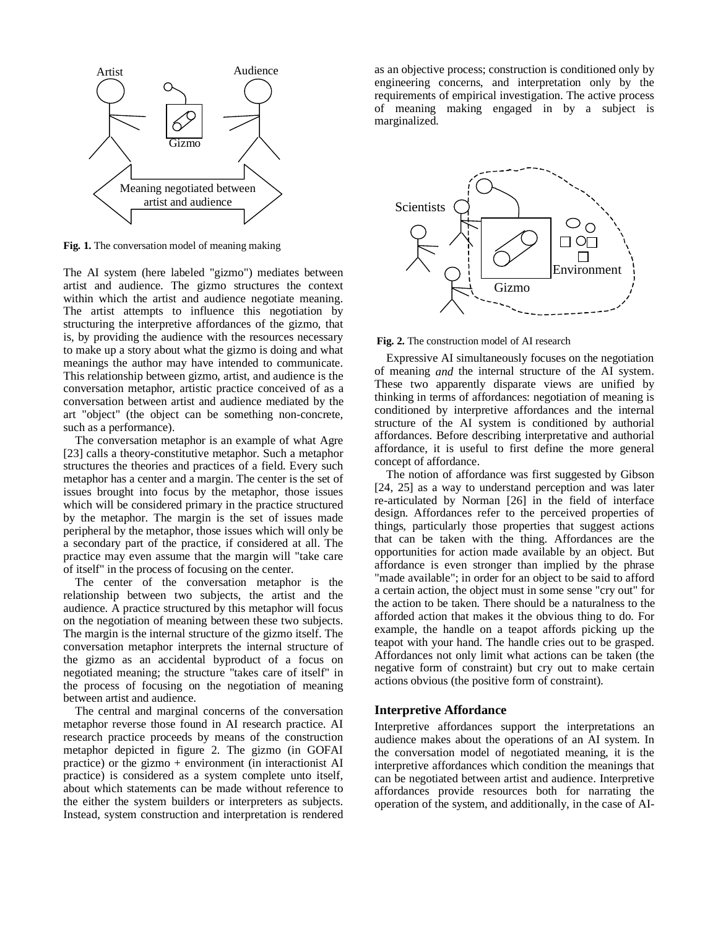

**Fig. 1.** The conversation model of meaning making

The AI system (here labeled "gizmo") mediates between artist and audience. The gizmo structures the context within which the artist and audience negotiate meaning. The artist attempts to influence this negotiation by structuring the interpretive affordances of the gizmo, that is, by providing the audience with the resources necessary to make up a story about what the gizmo is doing and what meanings the author may have intended to communicate. This relationship between gizmo, artist, and audience is the conversation metaphor, artistic practice conceived of as a conversation between artist and audience mediated by the art "object" (the object can be something non-concrete, such as a performance).

 The conversation metaphor is an example of what Agre [23] calls a theory-constitutive metaphor. Such a metaphor structures the theories and practices of a field. Every such metaphor has a center and a margin. The center is the set of issues brought into focus by the metaphor, those issues which will be considered primary in the practice structured by the metaphor. The margin is the set of issues made peripheral by the metaphor, those issues which will only be a secondary part of the practice, if considered at all. The practice may even assume that the margin will "take care of itself" in the process of focusing on the center.

 The center of the conversation metaphor is the relationship between two subjects, the artist and the audience. A practice structured by this metaphor will focus on the negotiation of meaning between these two subjects. The margin is the internal structure of the gizmo itself. The conversation metaphor interprets the internal structure of the gizmo as an accidental byproduct of a focus on negotiated meaning; the structure "takes care of itself" in the process of focusing on the negotiation of meaning between artist and audience.

 The central and marginal concerns of the conversation metaphor reverse those found in AI research practice. AI research practice proceeds by means of the construction metaphor depicted in figure 2. The gizmo (in GOFAI practice) or the gizmo + environment (in interactionist AI practice) is considered as a system complete unto itself, about which statements can be made without reference to the either the system builders or interpreters as subjects. Instead, system construction and interpretation is rendered as an objective process; construction is conditioned only by engineering concerns, and interpretation only by the requirements of empirical investigation. The active process of meaning making engaged in by a subject is marginalized.



**Fig. 2.** The construction model of AI research

 Expressive AI simultaneously focuses on the negotiation of meaning *and* the internal structure of the AI system. These two apparently disparate views are unified by thinking in terms of affordances: negotiation of meaning is conditioned by interpretive affordances and the internal structure of the AI system is conditioned by authorial affordances. Before describing interpretative and authorial affordance, it is useful to first define the more general concept of affordance.

 The notion of affordance was first suggested by Gibson [24, 25] as a way to understand perception and was later re-articulated by Norman [26] in the field of interface design. Affordances refer to the perceived properties of things, particularly those properties that suggest actions that can be taken with the thing. Affordances are the opportunities for action made available by an object. But affordance is even stronger than implied by the phrase "made available"; in order for an object to be said to afford a certain action, the object must in some sense "cry out" for the action to be taken. There should be a naturalness to the afforded action that makes it the obvious thing to do. For example, the handle on a teapot affords picking up the teapot with your hand. The handle cries out to be grasped. Affordances not only limit what actions can be taken (the negative form of constraint) but cry out to make certain actions obvious (the positive form of constraint).

#### **Interpretive Affordance**

Interpretive affordances support the interpretations an audience makes about the operations of an AI system. In the conversation model of negotiated meaning, it is the interpretive affordances which condition the meanings that can be negotiated between artist and audience. Interpretive affordances provide resources both for narrating the operation of the system, and additionally, in the case of AI-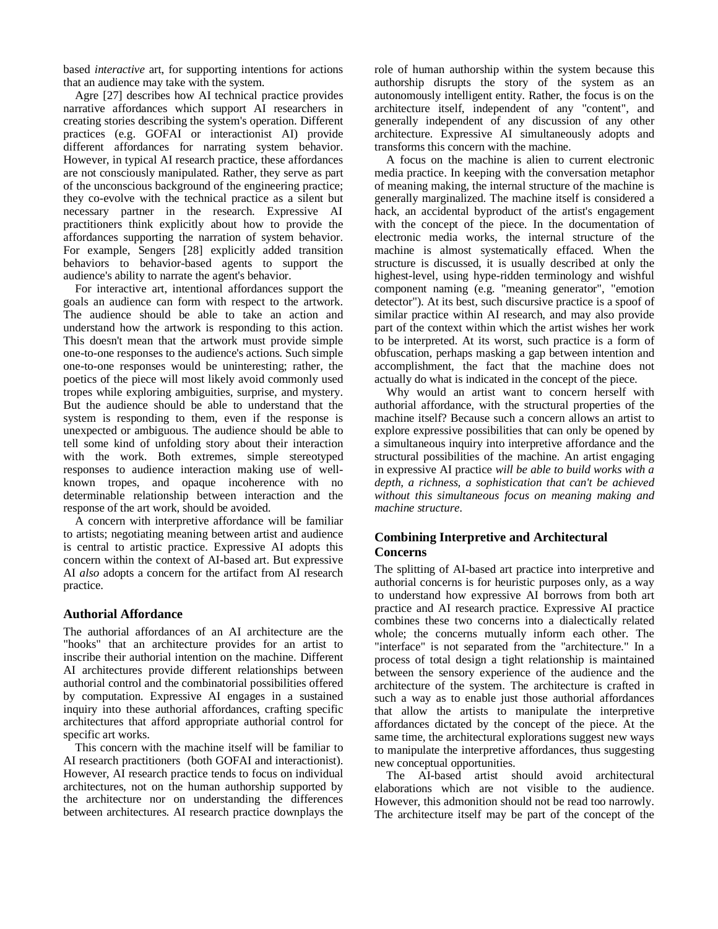based *interactive* art, for supporting intentions for actions that an audience may take with the system.

 Agre [27] describes how AI technical practice provides narrative affordances which support AI researchers in creating stories describing the system's operation. Different practices (e.g. GOFAI or interactionist AI) provide different affordances for narrating system behavior. However, in typical AI research practice, these affordances are not consciously manipulated. Rather, they serve as part of the unconscious background of the engineering practice; they co-evolve with the technical practice as a silent but necessary partner in the research. Expressive AI practitioners think explicitly about how to provide the affordances supporting the narration of system behavior. For example, Sengers [28] explicitly added transition behaviors to behavior-based agents to support the audience's ability to narrate the agent's behavior.

 For interactive art, intentional affordances support the goals an audience can form with respect to the artwork. The audience should be able to take an action and understand how the artwork is responding to this action. This doesn't mean that the artwork must provide simple one-to-one responses to the audience's actions. Such simple one-to-one responses would be uninteresting; rather, the poetics of the piece will most likely avoid commonly used tropes while exploring ambiguities, surprise, and mystery. But the audience should be able to understand that the system is responding to them, even if the response is unexpected or ambiguous. The audience should be able to tell some kind of unfolding story about their interaction with the work. Both extremes, simple stereotyped responses to audience interaction making use of wellknown tropes, and opaque incoherence with no determinable relationship between interaction and the response of the art work, should be avoided.

 A concern with interpretive affordance will be familiar to artists; negotiating meaning between artist and audience is central to artistic practice. Expressive AI adopts this concern within the context of AI-based art. But expressive AI *also* adopts a concern for the artifact from AI research practice.

#### **Authorial Affordance**

The authorial affordances of an AI architecture are the "hooks" that an architecture provides for an artist to inscribe their authorial intention on the machine. Different AI architectures provide different relationships between authorial control and the combinatorial possibilities offered by computation. Expressive AI engages in a sustained inquiry into these authorial affordances, crafting specific architectures that afford appropriate authorial control for specific art works.

 This concern with the machine itself will be familiar to AI research practitioners (both GOFAI and interactionist). However, AI research practice tends to focus on individual architectures, not on the human authorship supported by the architecture nor on understanding the differences between architectures. AI research practice downplays the role of human authorship within the system because this authorship disrupts the story of the system as an autonomously intelligent entity. Rather, the focus is on the architecture itself, independent of any "content", and generally independent of any discussion of any other architecture. Expressive AI simultaneously adopts and transforms this concern with the machine.

 A focus on the machine is alien to current electronic media practice. In keeping with the conversation metaphor of meaning making, the internal structure of the machine is generally marginalized. The machine itself is considered a hack, an accidental byproduct of the artist's engagement with the concept of the piece. In the documentation of electronic media works, the internal structure of the machine is almost systematically effaced. When the structure is discussed, it is usually described at only the highest-level, using hype-ridden terminology and wishful component naming (e.g. "meaning generator", "emotion detector"). At its best, such discursive practice is a spoof of similar practice within AI research, and may also provide part of the context within which the artist wishes her work to be interpreted. At its worst, such practice is a form of obfuscation, perhaps masking a gap between intention and accomplishment, the fact that the machine does not actually do what is indicated in the concept of the piece.

 Why would an artist want to concern herself with authorial affordance, with the structural properties of the machine itself? Because such a concern allows an artist to explore expressive possibilities that can only be opened by a simultaneous inquiry into interpretive affordance and the structural possibilities of the machine. An artist engaging in expressive AI practice *will be able to build works with a depth, a richness, a sophistication that can't be achieved without this simultaneous focus on meaning making and machine structure*.

# **Combining Interpretive and Architectural Concerns**

The splitting of AI-based art practice into interpretive and authorial concerns is for heuristic purposes only, as a way to understand how expressive AI borrows from both art practice and AI research practice. Expressive AI practice combines these two concerns into a dialectically related whole; the concerns mutually inform each other. The "interface" is not separated from the "architecture." In a process of total design a tight relationship is maintained between the sensory experience of the audience and the architecture of the system. The architecture is crafted in such a way as to enable just those authorial affordances that allow the artists to manipulate the interpretive affordances dictated by the concept of the piece. At the same time, the architectural explorations suggest new ways to manipulate the interpretive affordances, thus suggesting new conceptual opportunities.

 The AI-based artist should avoid architectural elaborations which are not visible to the audience. However, this admonition should not be read too narrowly. The architecture itself may be part of the concept of the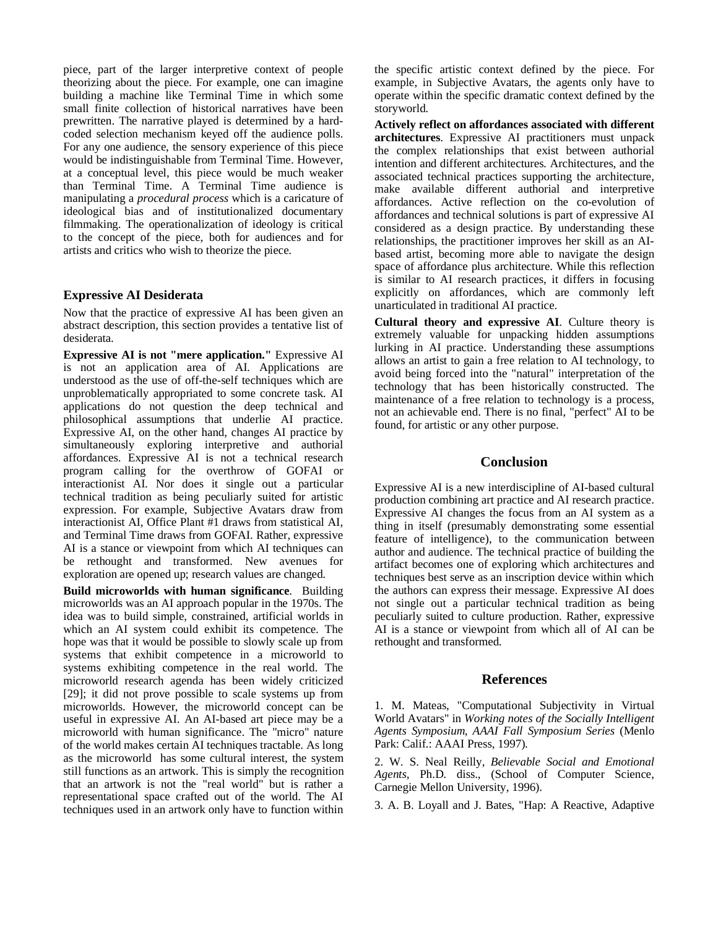piece, part of the larger interpretive context of people theorizing about the piece. For example, one can imagine building a machine like Terminal Time in which some small finite collection of historical narratives have been prewritten. The narrative played is determined by a hardcoded selection mechanism keyed off the audience polls. For any one audience, the sensory experience of this piece would be indistinguishable from Terminal Time. However, at a conceptual level, this piece would be much weaker than Terminal Time. A Terminal Time audience is manipulating a *procedural process* which is a caricature of ideological bias and of institutionalized documentary filmmaking. The operationalization of ideology is critical to the concept of the piece, both for audiences and for artists and critics who wish to theorize the piece.

#### **Expressive AI Desiderata**

Now that the practice of expressive AI has been given an abstract description, this section provides a tentative list of desiderata.

**Expressive AI is not "mere application."** Expressive AI is not an application area of AI. Applications are understood as the use of off-the-self techniques which are unproblematically appropriated to some concrete task. AI applications do not question the deep technical and philosophical assumptions that underlie AI practice. Expressive AI, on the other hand, changes AI practice by simultaneously exploring interpretive and authorial affordances. Expressive AI is not a technical research program calling for the overthrow of GOFAI or interactionist AI. Nor does it single out a particular technical tradition as being peculiarly suited for artistic expression. For example, Subjective Avatars draw from interactionist AI, Office Plant #1 draws from statistical AI, and Terminal Time draws from GOFAI. Rather, expressive AI is a stance or viewpoint from which AI techniques can be rethought and transformed. New avenues for exploration are opened up; research values are changed.

**Build microworlds with human significance**. Building microworlds was an AI approach popular in the 1970s. The idea was to build simple, constrained, artificial worlds in which an AI system could exhibit its competence. The hope was that it would be possible to slowly scale up from systems that exhibit competence in a microworld to systems exhibiting competence in the real world. The microworld research agenda has been widely criticized [29]; it did not prove possible to scale systems up from microworlds. However, the microworld concept can be useful in expressive AI. An AI-based art piece may be a microworld with human significance. The "micro" nature of the world makes certain AI techniques tractable. As long as the microworld has some cultural interest, the system still functions as an artwork. This is simply the recognition that an artwork is not the "real world" but is rather a representational space crafted out of the world. The AI techniques used in an artwork only have to function within

the specific artistic context defined by the piece. For example, in Subjective Avatars, the agents only have to operate within the specific dramatic context defined by the storyworld.

**Actively reflect on affordances associated with different architectures**. Expressive AI practitioners must unpack the complex relationships that exist between authorial intention and different architectures. Architectures, and the associated technical practices supporting the architecture, make available different authorial and interpretive affordances. Active reflection on the co-evolution of affordances and technical solutions is part of expressive AI considered as a design practice. By understanding these relationships, the practitioner improves her skill as an AIbased artist, becoming more able to navigate the design space of affordance plus architecture. While this reflection is similar to AI research practices, it differs in focusing explicitly on affordances, which are commonly left unarticulated in traditional AI practice.

**Cultural theory and expressive AI**. Culture theory is extremely valuable for unpacking hidden assumptions lurking in AI practice. Understanding these assumptions allows an artist to gain a free relation to AI technology, to avoid being forced into the "natural" interpretation of the technology that has been historically constructed. The maintenance of a free relation to technology is a process, not an achievable end. There is no final, "perfect" AI to be found, for artistic or any other purpose.

#### **Conclusion**

Expressive AI is a new interdiscipline of AI-based cultural production combining art practice and AI research practice. Expressive AI changes the focus from an AI system as a thing in itself (presumably demonstrating some essential feature of intelligence), to the communication between author and audience. The technical practice of building the artifact becomes one of exploring which architectures and techniques best serve as an inscription device within which the authors can express their message. Expressive AI does not single out a particular technical tradition as being peculiarly suited to culture production. Rather, expressive AI is a stance or viewpoint from which all of AI can be rethought and transformed.

#### **References**

1. M. Mateas, "Computational Subjectivity in Virtual World Avatars" in *Working notes of the Socially Intelligent Agents Symposium, AAAI Fall Symposium Series* (Menlo Park: Calif.: AAAI Press, 1997).

2. W. S. Neal Reilly, *Believable Social and Emotional Agents*, Ph.D. diss., (School of Computer Science, Carnegie Mellon University, 1996).

3. A. B. Loyall and J. Bates, "Hap: A Reactive, Adaptive